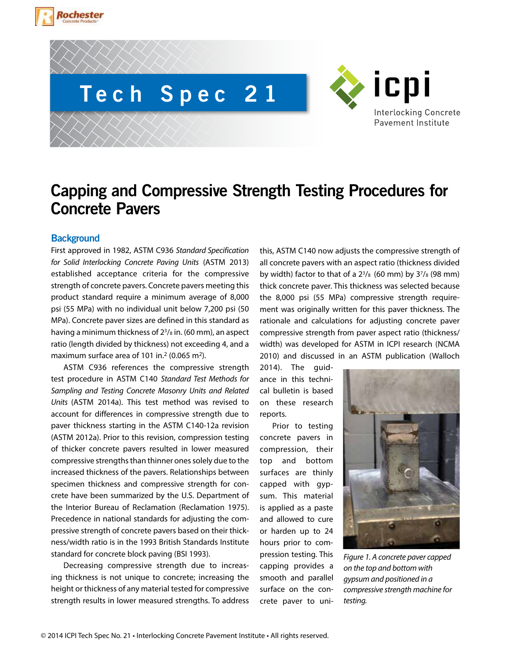





# **Capping and Compressive Strength Testing Procedures for Concrete Pavers**

# **Background**

First approved in 1982, ASTM C936 *Standard Specification for Solid Interlocking Concrete Paving Units* (ASTM 2013) established acceptance criteria for the compressive strength of concrete pavers. Concrete pavers meeting this product standard require a minimum average of 8,000 psi (55 MPa) with no individual unit below 7,200 psi (50 MPa). Concrete paver sizes are defined in this standard as having a minimum thickness of 23/8 in. (60 mm), an aspect ratio (length divided by thickness) not exceeding 4, and a maximum surface area of 101 in.<sup>2</sup> (0.065 m<sup>2</sup>).

ASTM C936 references the compressive strength test procedure in ASTM C140 *Standard Test Methods for Sampling and Testing Concrete Masonry Units and Related Units* (ASTM 2014a). This test method was revised to account for differences in compressive strength due to paver thickness starting in the ASTM C140-12a revision (ASTM 2012a). Prior to this revision, compression testing of thicker concrete pavers resulted in lower measured compressive strengths than thinner ones solely due to the increased thickness of the pavers. Relationships between specimen thickness and compressive strength for concrete have been summarized by the U.S. Department of the Interior Bureau of Reclamation (Reclamation 1975). Precedence in national standards for adjusting the compressive strength of concrete pavers based on their thickness/width ratio is in the 1993 British Standards Institute standard for concrete block paving (BSI 1993).

Decreasing compressive strength due to increasing thickness is not unique to concrete; increasing the height or thickness of any material tested for compressive strength results in lower measured strengths. To address

this, ASTM C140 now adjusts the compressive strength of all concrete pavers with an aspect ratio (thickness divided by width) factor to that of a  $2^{3}/8$  (60 mm) by  $3^{7}/8$  (98 mm) thick concrete paver. This thickness was selected because the 8,000 psi (55 MPa) compressive strength requirement was originally written for this paver thickness. The rationale and calculations for adjusting concrete paver compressive strength from paver aspect ratio (thickness/ width) was developed for ASTM in ICPI research (NCMA 2010) and discussed in an ASTM publication (Walloch

2014). The guidance in this technical bulletin is based on these research reports.

Prior to testing concrete pavers in compression, their top and bottom surfaces are thinly capped with gypsum. This material is applied as a paste and allowed to cure or harden up to 24 hours prior to compression testing. This capping provides a smooth and parallel surface on the con-

crete paver to uni-



*Figure 1. A concrete paver capped on the top and bottom with gypsum and positioned in a compressive strength machine for testing.*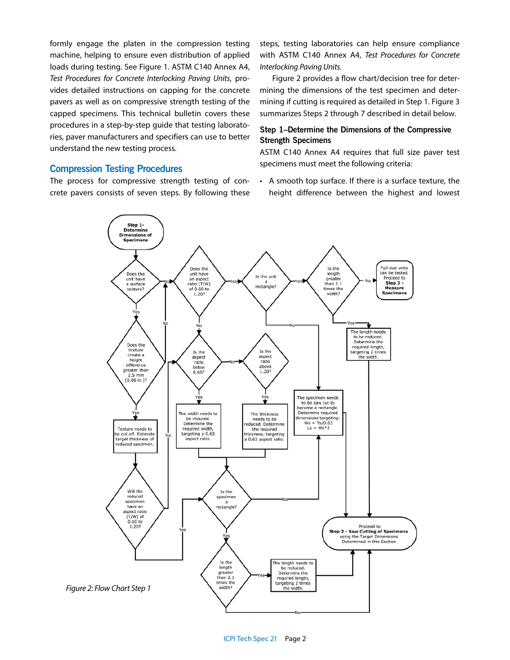formly engage the platen in the compression testing machine, helping to ensure even distribution of applied loads during testing. See Figure 1. ASTM C140 Annex A4, *Test Procedures for Concrete Interlocking Paving Units*, provides detailed instructions on capping for the concrete pavers as well as on compressive strength testing of the capped specimens. This technical bulletin covers these procedures in a step-by-step guide that testing laboratories, paver manufacturers and specifiers can use to better understand the new testing process.

## **Compression Testing Procedures**

The process for compressive strength testing of concrete pavers consists of seven steps. By following these steps, testing laboratories can help ensure compliance with ASTM C140 Annex A4, *Test Procedures for Concrete Interlocking Paving Units*.

Figure 2 provides a flow chart/decision tree for determining the dimensions of the test specimen and determining if cutting is required as detailed in Step 1. Figure 3 summarizes Steps 2 through 7 described in detail below.

# **Step 1–Determine the Dimensions of the Compressive Strength Specimens**

ASTM C140 Annex A4 requires that full size paver test specimens must meet the following criteria:

• A smooth top surface. If there is a surface texture, the height difference between the highest and lowest

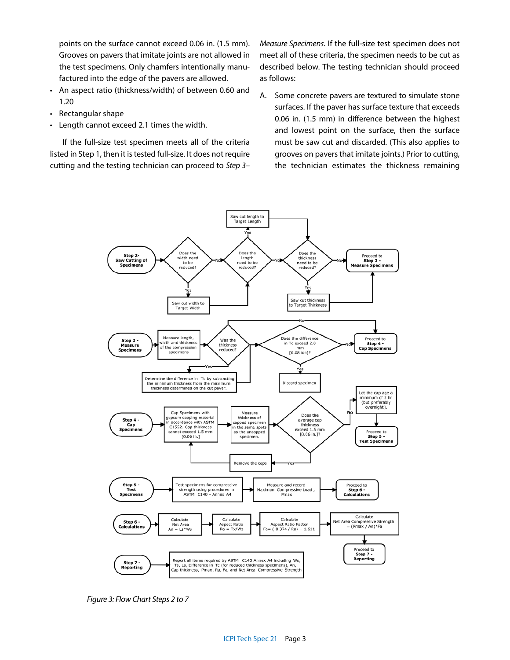points on the surface cannot exceed 0.06 in. (1.5 mm). Grooves on pavers that imitate joints are not allowed in the test specimens. Only chamfers intentionally manufactured into the edge of the pavers are allowed.

- An aspect ratio (thickness/width) of between 0.60 and 1.20
- Rectangular shape
- Length cannot exceed 2.1 times the width.

If the full-size test specimen meets all of the criteria listed in Step 1, then it is tested full-size. It does not require cutting and the testing technician can proceed to *Step 3–*

*Measure Specimens*. If the full-size test specimen does not meet all of these criteria, the specimen needs to be cut as described below. The testing technician should proceed as follows:

A. Some concrete pavers are textured to simulate stone surfaces. If the paver has surface texture that exceeds 0.06 in. (1.5 mm) in difference between the highest and lowest point on the surface, then the surface must be saw cut and discarded. (This also applies to grooves on pavers that imitate joints.) Prior to cutting, the technician estimates the thickness remaining

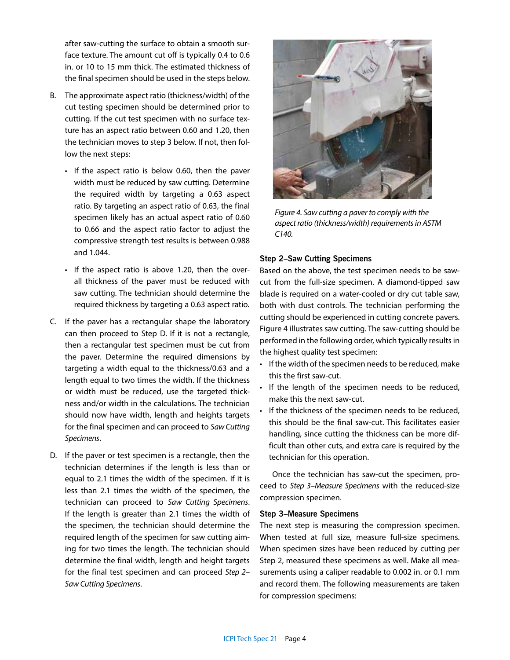after saw-cutting the surface to obtain a smooth surface texture. The amount cut off is typically 0.4 to 0.6 in. or 10 to 15 mm thick. The estimated thickness of the final specimen should be used in the steps below.

- B. The approximate aspect ratio (thickness/width) of the cut testing specimen should be determined prior to cutting. If the cut test specimen with no surface texture has an aspect ratio between 0.60 and 1.20, then the technician moves to step 3 below. If not, then follow the next steps:
	- If the aspect ratio is below 0.60, then the paver width must be reduced by saw cutting. Determine the required width by targeting a 0.63 aspect ratio. By targeting an aspect ratio of 0.63, the final specimen likely has an actual aspect ratio of 0.60 to 0.66 and the aspect ratio factor to adjust the compressive strength test results is between 0.988 and 1.044.
	- If the aspect ratio is above 1.20, then the overall thickness of the paver must be reduced with saw cutting. The technician should determine the required thickness by targeting a 0.63 aspect ratio.
- C. If the paver has a rectangular shape the laboratory can then proceed to Step D. If it is not a rectangle, then a rectangular test specimen must be cut from the paver. Determine the required dimensions by targeting a width equal to the thickness/0.63 and a length equal to two times the width. If the thickness or width must be reduced, use the targeted thickness and/or width in the calculations. The technician should now have width, length and heights targets for the final specimen and can proceed to *Saw Cutting Specimens*.
- D. If the paver or test specimen is a rectangle, then the technician determines if the length is less than or equal to 2.1 times the width of the specimen. If it is less than 2.1 times the width of the specimen, the technician can proceed to *Saw Cutting Specimens*. If the length is greater than 2.1 times the width of the specimen, the technician should determine the required length of the specimen for saw cutting aiming for two times the length. The technician should determine the final width, length and height targets for the final test specimen and can proceed *Step 2– Saw Cutting Specimens*.



*Figure 4. Saw cutting a paver to comply with the aspect ratio (thickness/width) requirements in ASTM C140.*

#### **Step 2–Saw Cutting Specimens**

Based on the above, the test specimen needs to be sawcut from the full-size specimen. A diamond-tipped saw blade is required on a water-cooled or dry cut table saw, both with dust controls. The technician performing the cutting should be experienced in cutting concrete pavers. Figure 4 illustrates saw cutting. The saw-cutting should be performed in the following order, which typically results in the highest quality test specimen:

- If the width of the specimen needs to be reduced, make this the first saw-cut.
- If the length of the specimen needs to be reduced, make this the next saw-cut.
- If the thickness of the specimen needs to be reduced, this should be the final saw-cut. This facilitates easier handling, since cutting the thickness can be more difficult than other cuts, and extra care is required by the technician for this operation.

Once the technician has saw-cut the specimen, proceed to *Step 3–Measure Specimens* with the reduced-size compression specimen.

#### **Step 3–Measure Specimens**

The next step is measuring the compression specimen. When tested at full size, measure full-size specimens. When specimen sizes have been reduced by cutting per Step 2, measured these specimens as well. Make all measurements using a caliper readable to 0.002 in. or 0.1 mm and record them. The following measurements are taken for compression specimens: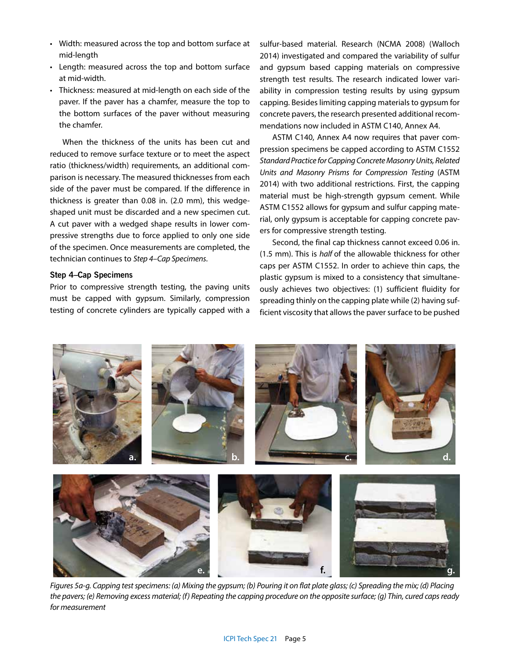- Width: measured across the top and bottom surface at mid-length
- Length: measured across the top and bottom surface at mid-width.
- Thickness: measured at mid-length on each side of the paver. If the paver has a chamfer, measure the top to the bottom surfaces of the paver without measuring the chamfer.

When the thickness of the units has been cut and reduced to remove surface texture or to meet the aspect ratio (thickness/width) requirements, an additional comparison is necessary. The measured thicknesses from each side of the paver must be compared. If the difference in thickness is greater than 0.08 in. (2.0 mm), this wedgeshaped unit must be discarded and a new specimen cut. A cut paver with a wedged shape results in lower compressive strengths due to force applied to only one side of the specimen. Once measurements are completed, the technician continues to *Step 4–Cap Specimens*.

#### **Step 4–Cap Specimens**

Prior to compressive strength testing, the paving units must be capped with gypsum. Similarly, compression testing of concrete cylinders are typically capped with a sulfur-based material. Research (NCMA 2008) (Walloch 2014) investigated and compared the variability of sulfur and gypsum based capping materials on compressive strength test results. The research indicated lower variability in compression testing results by using gypsum capping. Besides limiting capping materials to gypsum for concrete pavers, the research presented additional recommendations now included in ASTM C140, Annex A4.

ASTM C140, Annex A4 now requires that paver compression specimens be capped according to ASTM C1552 *Standard Practice for Capping Concrete Masonry Units, Related Units and Masonry Prisms for Compression Testing* (ASTM 2014) with two additional restrictions. First, the capping material must be high-strength gypsum cement. While ASTM C1552 allows for gypsum and sulfur capping material, only gypsum is acceptable for capping concrete pavers for compressive strength testing.

Second, the final cap thickness cannot exceed 0.06 in. (1.5 mm). This is *half* of the allowable thickness for other caps per ASTM C1552. In order to achieve thin caps, the plastic gypsum is mixed to a consistency that simultaneously achieves two objectives: (1) sufficient fluidity for spreading thinly on the capping plate while (2) having sufficient viscosity that allows the paver surface to be pushed



*Figures 5a-g. Capping test specimens: (a) Mixing the gypsum; (b) Pouring it on flat plate glass; (c) Spreading the mix; (d) Placing the pavers; (e) Removing excess material; (f) Repeating the capping procedure on the opposite surface; (g) Thin, cured caps ready for measurement*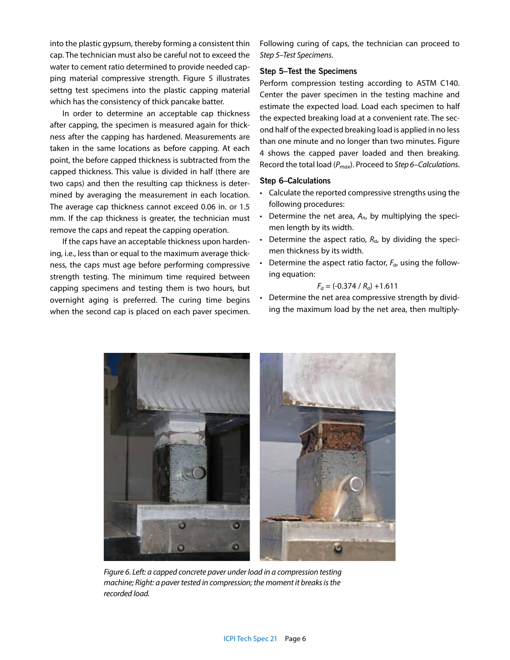into the plastic gypsum, thereby forming a consistent thin cap. The technician must also be careful not to exceed the water to cement ratio determined to provide needed capping material compressive strength. Figure 5 illustrates settng test specimens into the plastic capping material which has the consistency of thick pancake batter.

In order to determine an acceptable cap thickness after capping, the specimen is measured again for thickness after the capping has hardened. Measurements are taken in the same locations as before capping. At each point, the before capped thickness is subtracted from the capped thickness. This value is divided in half (there are two caps) and then the resulting cap thickness is determined by averaging the measurement in each location. The average cap thickness cannot exceed 0.06 in. or 1.5 mm. If the cap thickness is greater, the technician must remove the caps and repeat the capping operation.

If the caps have an acceptable thickness upon hardening, i.e., less than or equal to the maximum average thickness, the caps must age before performing compressive strength testing. The minimum time required between capping specimens and testing them is two hours, but overnight aging is preferred. The curing time begins when the second cap is placed on each paver specimen. Following curing of caps, the technician can proceed to *Step 5–Test Specimens*.

## **Step 5–Test the Specimens**

Perform compression testing according to ASTM C140. Center the paver specimen in the testing machine and estimate the expected load. Load each specimen to half the expected breaking load at a convenient rate. The second half of the expected breaking load is applied in no less than one minute and no longer than two minutes. Figure 4 shows the capped paver loaded and then breaking. Record the total load (*Pmax*). Proceed to *Step 6–Calculations*.

## **Step 6–Calculations**

- Calculate the reported compressive strengths using the following procedures:
- Determine the net area, *An*, by multiplying the specimen length by its width.
- Determine the aspect ratio,  $R_a$ , by dividing the specimen thickness by its width.
- Determine the aspect ratio factor, *Fa*, using the following equation:

$$
F_a = (-0.374 / R_a) + 1.611
$$

• Determine the net area compressive strength by dividing the maximum load by the net area, then multiply-



*Figure 6. Left: a capped concrete paver under load in a compression testing machine; Right: a paver tested in compression; the moment it breaks is the recorded load.*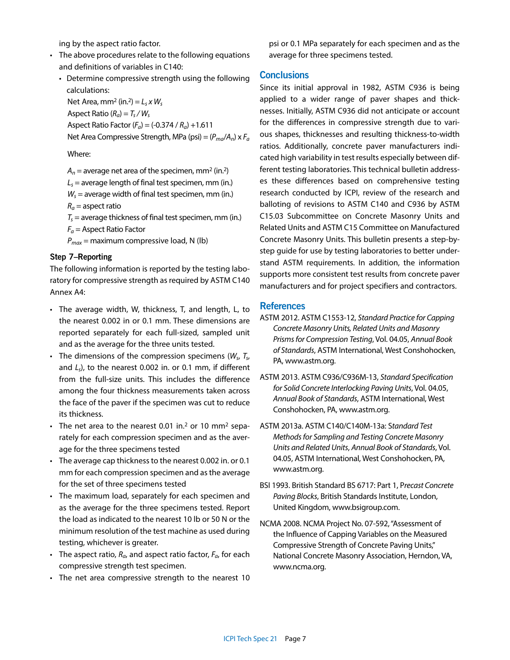ing by the aspect ratio factor.

- The above procedures relate to the following equations and definitions of variables in C140:
	- Determine compressive strength using the following calculations:

Net Area, mm<sup>2</sup> (in.<sup>2</sup>) =  $L_s x W_s$ Aspect Ratio  $(R_a) = T_s / W_s$ Aspect Ratio Factor (*Fa*) = (-0.374 / *Ra*) +1.611 Net Area Compressive Strength, MPa (psi) = (*Pma*/*An*) x *Fa*

Where:

 $A_n$  = average net area of the specimen, mm<sup>2</sup> (in.<sup>2</sup>)

 $L<sub>s</sub>$  = average length of final test specimen, mm (in.)

 $W_s$  = average width of final test specimen, mm (in.)

 $R_a$  = aspect ratio

 $T<sub>s</sub>$  = average thickness of final test specimen, mm (in.)

*Fa* = Aspect Ratio Factor

 $P_{max}$  = maximum compressive load, N (lb)

### **Step 7–Reporting**

The following information is reported by the testing laboratory for compressive strength as required by ASTM C140 Annex A4:

- The average width, W, thickness, T, and length, L, to the nearest 0.002 in or 0.1 mm. These dimensions are reported separately for each full-sized, sampled unit and as the average for the three units tested.
- The dimensions of the compression specimens (*Ws*, *Ts*, and *Ls*), to the nearest 0.002 in. or 0.1 mm, if different from the full-size units. This includes the difference among the four thickness measurements taken across the face of the paver if the specimen was cut to reduce its thickness.
- The net area to the nearest 0.01 in.<sup>2</sup> or 10 mm<sup>2</sup> separately for each compression specimen and as the average for the three specimens tested
- The average cap thickness to the nearest 0.002 in. or 0.1 mm for each compression specimen and as the average for the set of three specimens tested
- The maximum load, separately for each specimen and as the average for the three specimens tested. Report the load as indicated to the nearest 10 lb or 50 N or the minimum resolution of the test machine as used during testing, whichever is greater.
- The aspect ratio,  $R_a$ , and aspect ratio factor,  $F_a$ , for each compressive strength test specimen.
- The net area compressive strength to the nearest 10

psi or 0.1 MPa separately for each specimen and as the average for three specimens tested.

# **Conclusions**

Since its initial approval in 1982, ASTM C936 is being applied to a wider range of paver shapes and thicknesses. Initially, ASTM C936 did not anticipate or account for the differences in compressive strength due to various shapes, thicknesses and resulting thickness-to-width ratios. Additionally, concrete paver manufacturers indicated high variability in test results especially between different testing laboratories. This technical bulletin addresses these differences based on comprehensive testing research conducted by ICPI, review of the research and balloting of revisions to ASTM C140 and C936 by ASTM C15.03 Subcommittee on Concrete Masonry Units and Related Units and ASTM C15 Committee on Manufactured Concrete Masonry Units. This bulletin presents a step-bystep guide for use by testing laboratories to better understand ASTM requirements. In addition, the information supports more consistent test results from concrete paver manufacturers and for project specifiers and contractors.

# **References**

- ASTM 2012. ASTM C1553-12, *Standard Practice for Capping Concrete Masonry Units, Related Units and Masonry Prisms for Compression Testing*, Vol. 04.05, *Annual Book of Standards*, ASTM International, West Conshohocken, PA, www.astm.org.
- ASTM 2013. ASTM C936/C936M-13, *Standard Specification for Solid Concrete Interlocking Paving Units*, Vol. 04.05, *Annual Book of Standards*, ASTM International, West Conshohocken, PA, www.astm.org.
- ASTM 2013a. ASTM C140/C140M-13a: S*tandard Test Methods for Sampling and Testing Concrete Masonry Units and Related Units*, *Annual Book of Standards*, Vol. 04.05, ASTM International, West Conshohocken, PA, www.astm.org.
- BSI 1993. British Standard BS 6717: Part 1, P*recast Concrete Paving Blocks*, British Standards Institute, London, United Kingdom, www.bsigroup.com.
- NCMA 2008. NCMA Project No. 07-592, "Assessment of the Influence of Capping Variables on the Measured Compressive Strength of Concrete Paving Units," National Concrete Masonry Association, Herndon, VA, www.ncma.org.